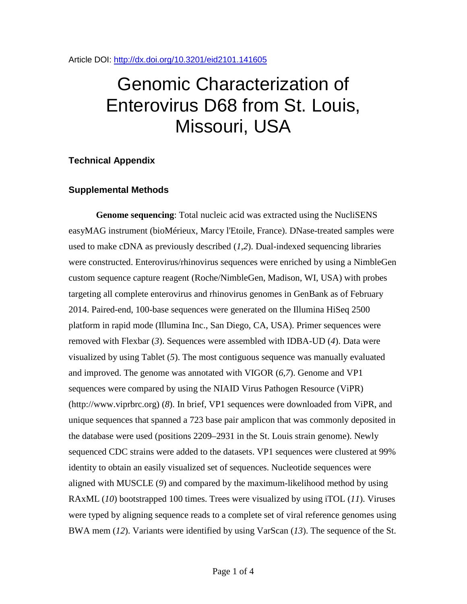Article DOI:<http://dx.doi.org/10.3201/eid2101.141605>

## Genomic Characterization of Enterovirus D68 from St. Louis, Missouri, USA

## **Technical Appendix**

## **Supplemental Methods**

**Genome sequencing**: Total nucleic acid was extracted using the NucliSENS easyMAG instrument (bioMérieux, Marcy l'Etoile, France). DNase-treated samples were used to make cDNA as previously described (*1*,*2*). Dual-indexed sequencing libraries were constructed. Enterovirus/rhinovirus sequences were enriched by using a NimbleGen custom sequence capture reagent (Roche/NimbleGen, Madison, WI, USA) with probes targeting all complete enterovirus and rhinovirus genomes in GenBank as of February 2014. Paired-end, 100-base sequences were generated on the Illumina HiSeq 2500 platform in rapid mode (Illumina Inc., San Diego, CA, USA). Primer sequences were removed with Flexbar (*3*). Sequences were assembled with IDBA-UD (*4*). Data were visualized by using Tablet (*5*). The most contiguous sequence was manually evaluated and improved. The genome was annotated with VIGOR (*6*,*7*). Genome and VP1 sequences were compared by using the NIAID Virus Pathogen Resource (ViPR) (http://www.viprbrc.org) (*8*). In brief, VP1 sequences were downloaded from ViPR, and unique sequences that spanned a 723 base pair amplicon that was commonly deposited in the database were used (positions 2209–2931 in the St. Louis strain genome). Newly sequenced CDC strains were added to the datasets. VP1 sequences were clustered at 99% identity to obtain an easily visualized set of sequences. Nucleotide sequences were aligned with MUSCLE (*9*) and compared by the maximum-likelihood method by using RAxML (*10*) bootstrapped 100 times. Trees were visualized by using iTOL (*11*). Viruses were typed by aligning sequence reads to a complete set of viral reference genomes using BWA mem (*12*). Variants were identified by using VarScan (*13*). The sequence of the St.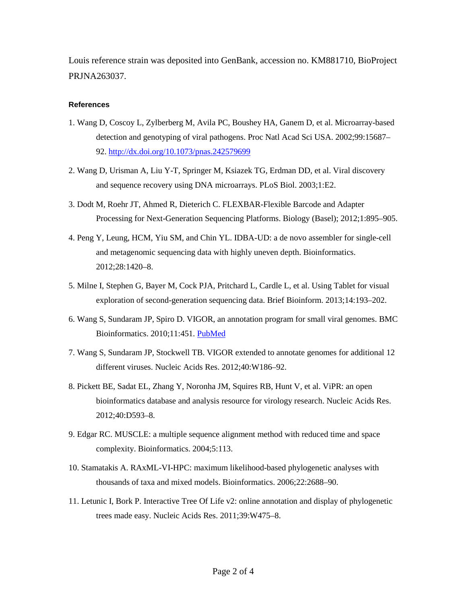Louis reference strain was deposited into GenBank, accession no. KM881710, BioProject PRJNA263037.

## **References**

- 1. Wang D, Coscoy L, Zylberberg M, Avila PC, Boushey HA, Ganem D, et al. Microarray-based detection and genotyping of viral pathogens. Proc Natl Acad Sci USA. 2002;99:15687– 92.<http://dx.doi.org/10.1073/pnas.242579699>
- 2. Wang D, Urisman A, Liu Y-T, Springer M, Ksiazek TG, Erdman DD, et al. Viral discovery and sequence recovery using DNA microarrays. PLoS Biol. 2003;1:E2.
- 3. Dodt M, Roehr JT, Ahmed R, Dieterich C. FLEXBAR-Flexible Barcode and Adapter Processing for Next-Generation Sequencing Platforms. Biology (Basel); 2012;1:895–905.
- 4. Peng Y, Leung, HCM, Yiu SM, and Chin YL. IDBA-UD: a de novo assembler for single-cell and metagenomic sequencing data with highly uneven depth. Bioinformatics. 2012;28:1420–8.
- 5. Milne I, Stephen G, Bayer M, Cock PJA, Pritchard L, Cardle L, et al. Using Tablet for visual exploration of second-generation sequencing data. Brief Bioinform. 2013;14:193–202.
- 6. Wang S, Sundaram JP, Spiro D. VIGOR, an annotation program for small viral genomes. BMC Bioinformatics. 2010;11:451. [PubMed](http://www.ncbi.nlm.nih.gov/entrez/query.fcgi?cmd=Retrieve&db=PubMed&list_uids=20822531&dopt=Abstract)
- 7. Wang S, Sundaram JP, Stockwell TB. VIGOR extended to annotate genomes for additional 12 different viruses. Nucleic Acids Res. 2012;40:W186–92.
- 8. Pickett BE, Sadat EL, Zhang Y, Noronha JM, Squires RB, Hunt V, et al. ViPR: an open bioinformatics database and analysis resource for virology research. Nucleic Acids Res. 2012;40:D593–8.
- 9. Edgar RC. MUSCLE: a multiple sequence alignment method with reduced time and space complexity. Bioinformatics. 2004;5:113.
- 10. Stamatakis A. RAxML-VI-HPC: maximum likelihood-based phylogenetic analyses with thousands of taxa and mixed models. Bioinformatics. 2006;22:2688–90.
- 11. Letunic I, Bork P. Interactive Tree Of Life v2: online annotation and display of phylogenetic trees made easy. Nucleic Acids Res. 2011;39:W475–8.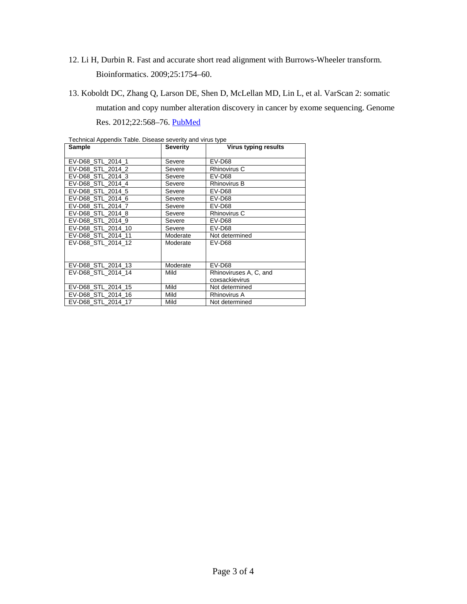12. Li H, Durbin R. Fast and accurate short read alignment with Burrows-Wheeler transform.

Bioinformatics. 2009;25:1754–60.

13. Koboldt DC, Zhang Q, Larson DE, Shen D, McLellan MD, Lin L, et al. VarScan 2: somatic mutation and copy number alteration discovery in cancer by exome sequencing. Genome Res. 2012;22:568–76. [PubMed](http://www.ncbi.nlm.nih.gov/entrez/query.fcgi?cmd=Retrieve&db=PubMed&list_uids=22300766&dopt=Abstract)

| Technical Appendix Table. Disease severity and virus type<br>Sample | <b>Severity</b> | Virus typing results   |
|---------------------------------------------------------------------|-----------------|------------------------|
|                                                                     |                 |                        |
| EV-D68 STL 2014 1                                                   | Severe          | $EV-DS8$               |
| EV-D68 STL 2014 2                                                   | Severe          | Rhinovirus C           |
| EV-D68 STL 2014 3                                                   | Severe          | EV-D68                 |
| EV-D68 STL 2014 4                                                   | Severe          | Rhinovirus B           |
| EV-D68 STL 2014 5                                                   | Severe          | EV-D68                 |
| EV-D68 STL 2014 6                                                   | Severe          | EV-D68                 |
| EV-D68 STL 2014 7                                                   | Severe          | EV-D68                 |
| EV-D68 STL 2014 8                                                   | Severe          | Rhinovirus C           |
| EV-D68 STL 2014 9                                                   | Severe          | EV-D68                 |
| EV-D68 STL 2014 10                                                  | Severe          | EV-D68                 |
| EV-D68 STL 2014 11                                                  | Moderate        | Not determined         |
| EV-D68 STL 2014 12                                                  | Moderate        | EV-D68                 |
|                                                                     |                 |                        |
|                                                                     |                 |                        |
| EV-D68 STL 2014 13                                                  | Moderate        | $EV-DS8$               |
| EV-D68 STL 2014 14                                                  | Mild            | Rhinoviruses A, C, and |
|                                                                     |                 | coxsackievirus         |
| EV-D68 STL 2014 15                                                  | Mild            | Not determined         |
| EV-D68 STL 2014 16                                                  | Mild            | <b>Rhinovirus A</b>    |
| EV-D68 STL 2014 17                                                  | Mild            | Not determined         |

Technical Appendix Table. Disease severity and virus type